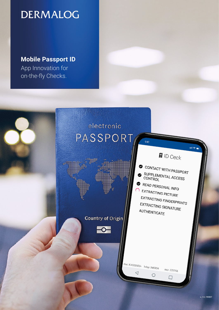# **DERMALOG**

**Mobile Passport ID** App Innovation for on-the-fly Checks.

> electronic **PASSPORT**  $9:41$

> > **Country of Origin**

 $\overline{\phantom{0}}$ 

af III

D Ceck

an a

CONTACT WITH PASSPORT SUPPLEMENTAL ACCESS CONTROL

READ PERSONAL INFO EXTRACTING PICTURE EXTRACTING FINGERPRINTS EXTRACTING SIGNATURE AUTHENTICATE

doc: KA000000< bday: 840904 exp: 270706

 $\bigcirc$ 

 $\Box$ 

 $\triangleleft$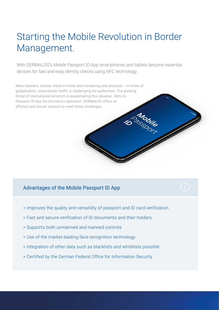# Starting the Mobile Revolution in Border Management.

With DERMALOG's Mobile Passport ID App smartphones and tablets become essential devices for fast and easy identity checks using NFC technology.

More travelers, shorter check-in times and increasing cost pressure – in times of globalization, cross-border traffic is challenging the authorities. The growing threat of international terrorism is exacerbating this situation. With its Passport ID App the biometrics specialist DERMALOG offers an efficient and secure solution to meet these challenges.

# Advantages of the Mobile Passport ID App

- > Improves the quality and versatility of passport and ID card verification
- > Fast and secure verification of ID documents and their holders
- > Supports both unmanned and manned controls
- > Use of the market-leading face recognition technology
- > Integration of other data such as blacklists and whitelists possible
- > Certified by the German Federal Office for Information Security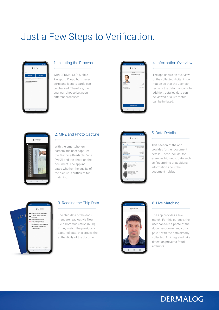# Just a Few Steps to Verification.



# 1. Initiating the Process

With DERMALOG's Mobile Passport ID App both passports and identity cards can be checked. Therefore, the user can choose between different processes.



### 4. Information Overview

The app shows an overview of the collected digital information so that the user can recheck the data manually. In addition, detailed data can be viewed or a live match can be initiated.



# 2. MRZ and Photo Capture

With the smartphone's camera, the user captures the Machine-Readable Zone (MRZ) and the photo on the document. The app indicates whether the quality of the picture is sufficient for matching.

| verview                                                                        | <b>Details</b><br>Advance                                                                   |
|--------------------------------------------------------------------------------|---------------------------------------------------------------------------------------------|
| <b>Personal Info</b>                                                           |                                                                                             |
| Full name:<br>Sumame<br>Given Names:<br>Gender<br>Nationality.                 | MAX MUSTERMANN<br>MUSTERMANN<br>$\overline{u}$<br>MDV                                       |
| Date of birth:<br>Personal Number:<br><b>Document Info</b><br>Document Number: | 25.06.1981<br>A336487<br>F00000000                                                          |
| Document Code:<br>Issuing State:<br>Date of Expire:<br><b>GMTH</b>             | PD<br>MOV<br>14.01.2021                                                                     |
| Format WSO                                                                     | Position: Left Index Finger<br>FileSize: 9411 bytes<br>Picture Size: 251x500                |
|                                                                                | Position: Right Index Finger<br>FileSize: 9411 bytes<br>Picture Size: 251x500<br>Format W50 |

### 5. Data Details

This section of the ann provides further document details. These include, for example, biometric data such as fingerprints or additional information about the document holder.



## 3. Reading the Chip Data

The chip data of the document are read out via Near Field Communication (NFC). If they match the previously captured data, this proves the authenticity of the document.



#### 6. Live Matching

The app provides a live match. For this purpose, the user can take a photo of the document owner and compare it with the data already collected. An integrated fake detection prevents fraud attempts.